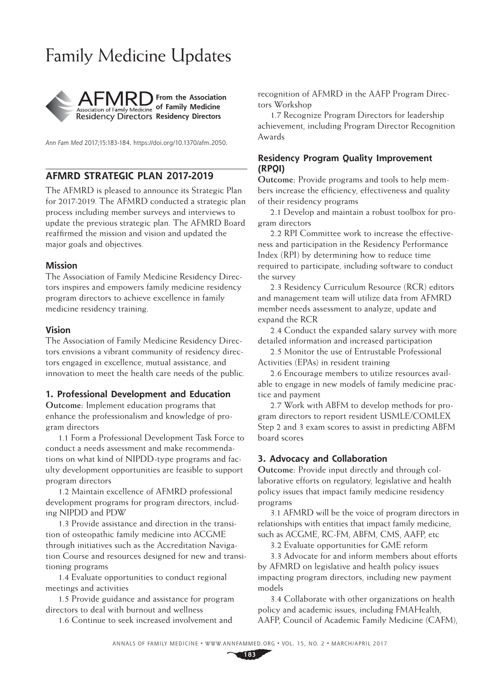# Family Medicine Updates



*Ann Fam Med* 2017;15:183-184. <https://doi.org/10.1370/afm.2050>.

# **AFMRD STRATEGIC PLAN 2017-2019**

The AFMRD is pleased to announce its Strategic Plan for 2017-2019. The AFMRD conducted a strategic plan process including member surveys and interviews to update the previous strategic plan. The AFMRD Board reaffirmed the mission and vision and updated the major goals and objectives.

#### **Mission**

The Association of Family Medicine Residency Directors inspires and empowers family medicine residency program directors to achieve excellence in family medicine residency training.

#### **Vision**

The Association of Family Medicine Residency Directors envisions a vibrant community of residency directors engaged in excellence, mutual assistance, and innovation to meet the health care needs of the public.

#### **1. Professional Development and Education**

**Outcome:** Implement education programs that enhance the professionalism and knowledge of program directors

1.1 Form a Professional Development Task Force to conduct a needs assessment and make recommendations on what kind of NIPDD-type programs and faculty development opportunities are feasible to support program directors

1.2 Maintain excellence of AFMRD professional development programs for program directors, including NIPDD and PDW

1.3 Provide assistance and direction in the transition of osteopathic family medicine into ACGME through initiatives such as the Accreditation Navigation Course and resources designed for new and transitioning programs

1.4 Evaluate opportunities to conduct regional meetings and activities

1.5 Provide guidance and assistance for program directors to deal with burnout and wellness

1.6 Continue to seek increased involvement and

recognition of AFMRD in the AAFP Program Directors Workshop

1.7 Recognize Program Directors for leadership achievement, including Program Director Recognition Awards

## **Residency Program Quality Improvement (RPQI)**

**Outcome:** Provide programs and tools to help members increase the efficiency, effectiveness and quality of their residency programs

2.1 Develop and maintain a robust toolbox for program directors

2.2 RPI Committee work to increase the effectiveness and participation in the Residency Performance Index (RPI) by determining how to reduce time required to participate, including software to conduct the survey

2.3 Residency Curriculum Resource (RCR) editors and management team will utilize data from AFMRD member needs assessment to analyze, update and expand the RCR

2.4 Conduct the expanded salary survey with more detailed information and increased participation

2.5 Monitor the use of Entrustable Professional Activities (EPAs) in resident training

2.6 Encourage members to utilize resources available to engage in new models of family medicine practice and payment

2.7 Work with ABFM to develop methods for program directors to report resident USMLE/COMLEX Step 2 and 3 exam scores to assist in predicting ABFM board scores

## **3. Advocacy and Collaboration**

**Outcome:** Provide input directly and through collaborative efforts on regulatory, legislative and health policy issues that impact family medicine residency programs

3.1 AFMRD will be the voice of program directors in relationships with entities that impact family medicine, such as ACGME, RC-FM, ABFM, CMS, AAFP, etc

3.2 Evaluate opportunities for GME reform

3.3 Advocate for and inform members about efforts by AFMRD on legislative and health policy issues impacting program directors, including new payment models

3.4 Collaborate with other organizations on health policy and academic issues, including FMAHealth, AAFP, Council of Academic Family Medicine (CAFM),